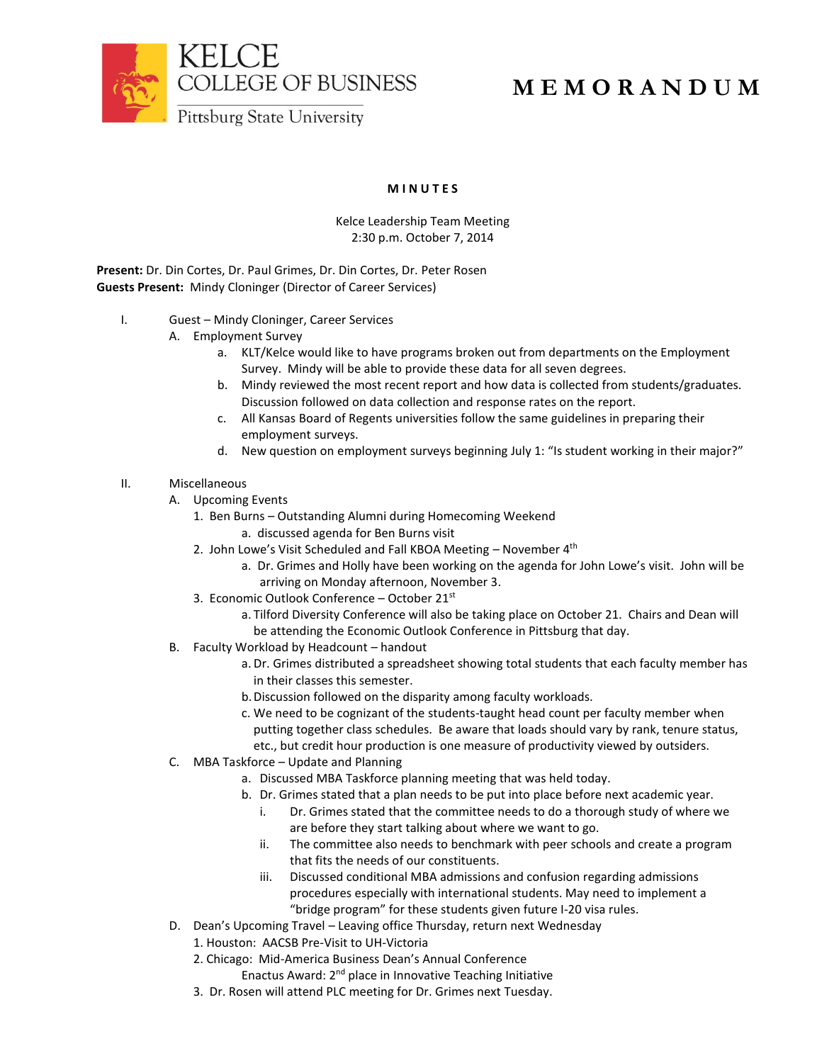

## **M E M O R A N D U M**

## **M I N U T E S**

## Kelce Leadership Team Meeting 2:30 p.m. October 7, 2014

**Present:** Dr. Din Cortes, Dr. Paul Grimes, Dr. Din Cortes, Dr. Peter Rosen **Guests Present:** Mindy Cloninger (Director of Career Services)

- I. Guest Mindy Cloninger, Career Services
	- A. Employment Survey
		- a. KLT/Kelce would like to have programs broken out from departments on the Employment Survey. Mindy will be able to provide these data for all seven degrees.
		- b. Mindy reviewed the most recent report and how data is collected from students/graduates. Discussion followed on data collection and response rates on the report.
		- c. All Kansas Board of Regents universities follow the same guidelines in preparing their employment surveys.
		- d. New question on employment surveys beginning July 1: "Is student working in their major?"
- II. Miscellaneous
	- A. Upcoming Events
		- 1. Ben Burns Outstanding Alumni during Homecoming Weekend
			- a. discussed agenda for Ben Burns visit
		- 2. John Lowe's Visit Scheduled and Fall KBOA Meeting  $-$  November  $4<sup>th</sup>$ 
			- a. Dr. Grimes and Holly have been working on the agenda for John Lowe's visit. John will be arriving on Monday afternoon, November 3.
		- 3. Economic Outlook Conference October 21st
			- a. Tilford Diversity Conference will also be taking place on October 21. Chairs and Dean will be attending the Economic Outlook Conference in Pittsburg that day.
	- B. Faculty Workload by Headcount handout
		- a. Dr. Grimes distributed a spreadsheet showing total students that each faculty member has in their classes this semester.
		- b.Discussion followed on the disparity among faculty workloads.
		- c. We need to be cognizant of the students-taught head count per faculty member when putting together class schedules. Be aware that loads should vary by rank, tenure status, etc., but credit hour production is one measure of productivity viewed by outsiders.
	- C. MBA Taskforce Update and Planning
		- a. Discussed MBA Taskforce planning meeting that was held today.
		- b. Dr. Grimes stated that a plan needs to be put into place before next academic year.
			- i. Dr. Grimes stated that the committee needs to do a thorough study of where we are before they start talking about where we want to go.
			- ii. The committee also needs to benchmark with peer schools and create a program that fits the needs of our constituents.
			- iii. Discussed conditional MBA admissions and confusion regarding admissions procedures especially with international students. May need to implement a "bridge program" for these students given future I-20 visa rules.
	- D. Dean's Upcoming Travel Leaving office Thursday, return next Wednesday
		- 1. Houston: AACSB Pre-Visit to UH-Victoria
		- 2. Chicago: Mid-America Business Dean's Annual Conference
			- Enactus Award: 2nd place in Innovative Teaching Initiative
		- 3. Dr. Rosen will attend PLC meeting for Dr. Grimes next Tuesday.